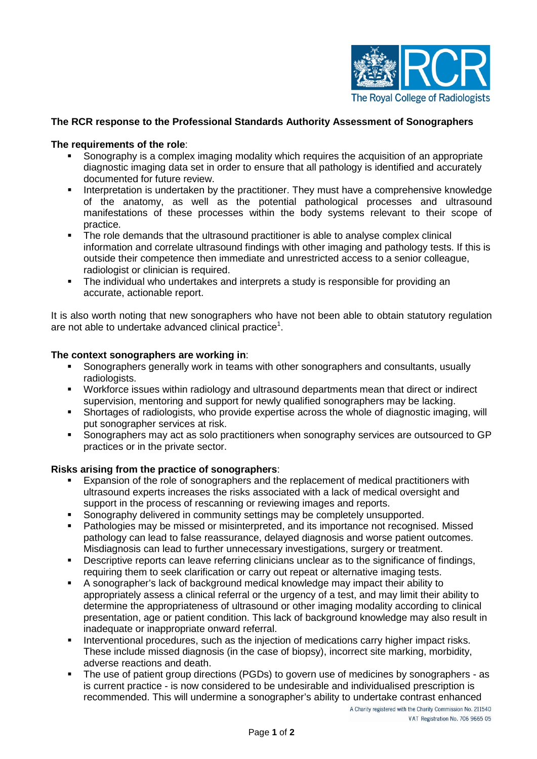

# **The RCR response to the Professional Standards Authority Assessment of Sonographers**

### **The requirements of the role**:

- Sonography is a complex imaging modality which requires the acquisition of an appropriate diagnostic imaging data set in order to ensure that all pathology is identified and accurately documented for future review.
- Interpretation is undertaken by the practitioner. They must have a comprehensive knowledge of the anatomy, as well as the potential pathological processes and ultrasound manifestations of these processes within the body systems relevant to their scope of practice.
- The role demands that the ultrasound practitioner is able to analyse complex clinical information and correlate ultrasound findings with other imaging and pathology tests. If this is outside their competence then immediate and unrestricted access to a senior colleague, radiologist or clinician is required.
- The individual who undertakes and interprets a study is responsible for providing an accurate, actionable report.

It is also worth noting that new sonographers who have not been able to obtain statutory regulation are not able to undertake advanced clinical practice<sup>1</sup>.

#### **The context sonographers are working in**:

- Sonographers generally work in teams with other sonographers and consultants, usually radiologists.
- Workforce issues within radiology and ultrasound departments mean that direct or indirect supervision, mentoring and support for newly qualified sonographers may be lacking.
- Shortages of radiologists, who provide expertise across the whole of diagnostic imaging, will put sonographer services at risk.
- Sonographers may act as solo practitioners when sonography services are outsourced to GP practices or in the private sector.

# **Risks arising from the practice of sonographers**:

- Expansion of the role of sonographers and the replacement of medical practitioners with ultrasound experts increases the risks associated with a lack of medical oversight and support in the process of rescanning or reviewing images and reports.
- Sonography delivered in community settings may be completely unsupported.
- Pathologies may be missed or misinterpreted, and its importance not recognised. Missed pathology can lead to false reassurance, delayed diagnosis and worse patient outcomes. Misdiagnosis can lead to further unnecessary investigations, surgery or treatment.
- Descriptive reports can leave referring clinicians unclear as to the significance of findings, requiring them to seek clarification or carry out repeat or alternative imaging tests.
- A sonographer's lack of background medical knowledge may impact their ability to appropriately assess a clinical referral or the urgency of a test, and may limit their ability to determine the appropriateness of ultrasound or other imaging modality according to clinical presentation, age or patient condition. This lack of background knowledge may also result in inadequate or inappropriate onward referral.
- **Interventional procedures, such as the injection of medications carry higher impact risks.** These include missed diagnosis (in the case of biopsy), incorrect site marking, morbidity, adverse reactions and death.
- The use of patient group directions (PGDs) to govern use of medicines by sonographers as is current practice - is now considered to be undesirable and individualised prescription is recommended. This will undermine a sonographer's ability to undertake contrast enhanced